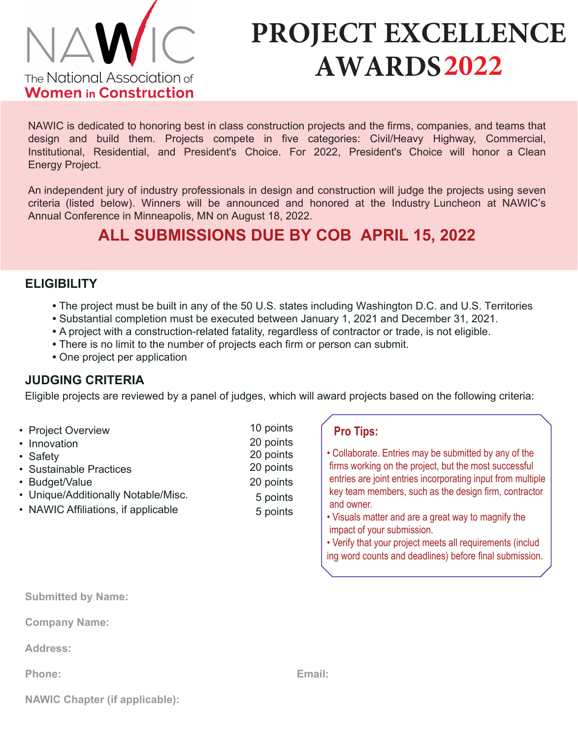

# **PROJECT EXCELLENCE AWARDS2022**

NAWIC is dedicated to honoring best in class construction projects and the firms, companies, and teams that design and build them. Projects compete in five categories: Civil/Heavy Highway, Commercial, Institutional, Residential, and President's Choice. For 2022, President's Choice will honor a Clean Energy Project.

An independent jury of industry professionals in design and construction will judge the projects using seven criteria (listed below). Winners will be announced and honored at the Industry Luncheon at NAWIC's Annual Conference in Minneapolis, MN on August 18, 2022.

## **ALL SUBMISSIONS DUE BY COB APRIL 15, 2022**

#### **ELIGIBILITY**

- **•** The project must be built in any of the 50 U.S. states including Washington D.C. and U.S. Territories
- **•** Substantial completion must be executed between January 1, 2021 and December 31, 2021.
- **•** A project with a construction-related fatality, regardless of contractor or trade, is not eligible.
- There is no limit to the number of projects each firm or person can submit.
- **•** One project per application

### **JUDGING CRITERIA**

Eligible projects are reviewed by a panel of judges, which will award projects based on the following criteria:

20 points 20 points 20 points 5 points

- 10 points 20 points • Project Overview
- Innovation • Safety
- Sustainable Practices
- Budget/Value
- Unique/Additionally Notable/Misc.
- NAWIC Affiliations, if applicable 5 points
- **Pro Tips:**
- Collaborate. Entries may be submitted by any of the firms working on the project, but the most successful entries are joint entries incorporating input from multiple key team members, such as the design firm, contractor and owner.
- Visuals matter and are a great way to magnify the impact of your submission.
- Verify that your project meets all requirements (includ ing word counts and deadlines) before final submission.

**Submitted by Name:**

**Company Name:**

**Address:**

**Phone:** 

|  | <b>NAWIC Chapter (if applicable):</b> |  |  |
|--|---------------------------------------|--|--|
|--|---------------------------------------|--|--|

 **Email:**